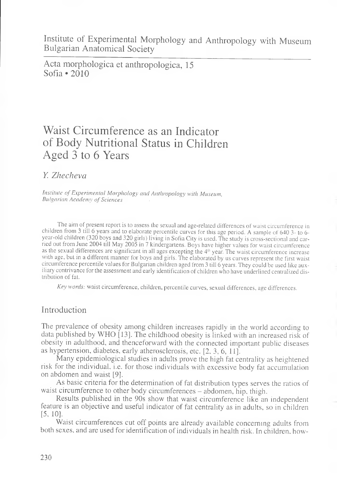Institute of Experimental Morphology and Anthropology with Museum Bulgarian Anatomical Society

Acta morphologica et anthropologica, 15 Sofia \*2010

# Waist Circumference as an Indicator of Body Nutritional Status in Children Aged 3 to 6 Years

*Y. Zhecheva*

*Institute of Experimental Morphology and Anthropology with Museum, Bulgarian Academy of Sciences* ■

The aim of present report is to assess the sexual and age-related differences of waist circumference in children from 3 till 6 years and to elaborate percentile curves for this age period. A sample of 640 3- to 6 year-old children (320 boys and 320 girls) living in Sofia City is used. The study is cross-sectional and carried out from June 2004 till May 2005 in 7 kindergartens. Boys have higher values for waist circumference as the sexual differences are significant in all ages excepting the 4<sup>th</sup> year. The waist circumference increase with age, but in a different manner for boys and girls. The elaborated by us curves represent the first waist circumference percentile values for Bulgarian children aged from 3 till 6 years. They could be used like auxiliary contrivance for the assessment and early identification of children who have underlined centralized distribution of fat.

*Key words:* waist circumference, children, percentile curves, sexual differences, age differences.

## Introduction

The prevalence of obesity among children increases rapidly in the world according to data published by WHO [13]. The childhood obesity is linked with an increased risk of obesity in adulthood, and thenceforward with the connected important public diseases as hypertension, diabetes, early atherosclerosis, etc. [2, 3, 6, 11].

Many epidemiological studies in adults prove the high fat centrality as heightened risk for the individual, i.e. for those individuals with excessive body fat accumulation on abdomen and waist [9].

As basic criteria for the determination of fat distribution types serves the ratios of waist circumference to other body circumferences – abdomen, hip, thigh.

Results published in the 90s show that waist circumference like an independent feature is an objective and useful indicator of fat centrality as in adults, so in children [5, 10].

Waist circumferences cut off points are already available concerning adults from both sexes, and are used for identification of individuals in health risk. In children, how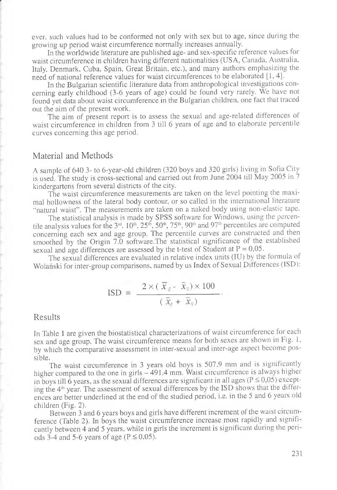ever, such values had to be conformed not only with sex but to age, since during the growing up period waist circumference normally increases annually.

In the worldwide literature are published age- and sex-specific reference values for waist circumference in children having different nationalities (USA, Canada, Australia, Italy. Denmark, Cuba, Spain, Great Britain, etc.), and many authors emphasizing the need of national reference values for waist circumferences to be elaborated [I, 4].

In the Bulgarian scientific literature data from anthropological investigations concerning early childhood (3-6 years of age) could be found very rarely. We have not found yet data about waist circumference in the Bulgarian children, one fact that traced out the aim of the present work.

The aim of present report is to assess the sexual and age-related differences of waist circumference in children from 3 till 6 years of age and to elaborate percentile curves concerning this age period.

#### Material and Methods

A sample of 640 3- to 6-year-old children (320 boys and 320 girls) living in Sofia City is used. The study is cross-sectional and carried out from June 2004 till May 2005 in 7 kindergartens from several districts of the city.

The waist circumference measurements are taken on the level pointing the maximal hollowness of the lateral body contour, or so called in the international literature "natural waist". The measurements are taken on a naked body using non-elastic tape.

The statistical analysis is made by SPSS software for Windows, using the percentile analysis values for the  $3<sup>rd</sup>$ ,  $10<sup>th</sup>$ ,  $25<sup>th</sup>$ ,  $50<sup>th</sup>$ ,  $75<sup>th</sup>$ ,  $90<sup>th</sup>$  and  $97<sup>th</sup>$  percentiles are computed concerning each sex and age group. The percentile curves are constructed and then smoothed by the Origin 7.0 software.The statistical significance of the established sexual and age differences are assessed by the t-test of Student at  $P = 0.05$ .

The sexual differences are evaluated in relative index units (IU) by the formula of Wolanski for inter-group comparisons, named by us Index of Sexual Differences (ISD):

$$
\text{ISD} = \frac{2 \times (\overline{x}_{\delta} - \overline{x}_{\Omega}) \times 100}{(\overline{x}_{\delta} + \overline{x}_{\Omega})}.
$$

## Results

In Table 1 are given the biostatistical characterizations of waist circumference for each sex and age group. The waist circumference means for both sexes are shown in Fig. 1, by which the comparative assessment in inter-sexual and inter-age aspect become possible. ....

The waist circumference in 3 years old boys is 507,9 mm and is significantly higher compared to the one in girls - 491,4 mm. Waist circumference is always higher in boys till 6 years, as the sexual differences are significant in all ages ( $P \le 0.05$ ) excepting the 4<sup>th</sup> year. The assessment of sexual differences by the ISD shows that the differences are better underlined at the end of the studied period, i.e. in the 5 and 6 years old children (Fig. 2).

Between 3 and 6 years boys and girls have different increment of the waist circumference (Table 2). In boys the waist circumference increase most rapidly and significantly between 4 and 5 years, while in girls the increment is significant during the periods 3-4 and 5-6 years of age ( $P \le 0.05$ ).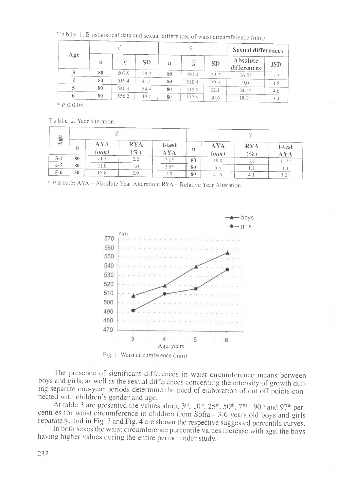| Age |    |                |           |    |        |           | Sexual differences             |            |
|-----|----|----------------|-----------|----|--------|-----------|--------------------------------|------------|
|     | n  | $\overline{x}$ | <b>SD</b> | n  | $\chi$ | <b>SD</b> | <b>Absolute</b><br>differences | <b>ISD</b> |
|     | 80 | 507.9          | 28.2      | 80 | 491.4  | 29.7      | $16.5*$                        | 3,3        |
|     | 80 | 519.4          | 41.1      | 80 | 510.4  | 29.3      | 9.0                            | 1.8        |
|     | 80 | 540.4          | 54.4      | 80 | 515.9  | 32.1      | $24.5*$                        | 4.6        |
|     | 80 | 556.2          | 49.7      | 80 | 537.5  | 50.6      | $18.7*$                        | 3.4        |

Table 1. Biostatistical data and sexual differences of waist circumference (mm)

Table 2. Year alteration

| e.      |    |            |                               |                       |    |                    |                               |               |  |
|---------|----|------------|-------------------------------|-----------------------|----|--------------------|-------------------------------|---------------|--|
|         | n  | AYA<br>mm) | <b>RYA</b><br>$\mathscr{G}_o$ | t-test<br>${\rm AYA}$ | n  | <b>AYA</b><br>(mm) | <b>RYA</b><br>$\mathscr{G}_o$ | t-test<br>AYA |  |
| 3-4     | 80 | -1.5       | 2.2                           | $2.1*$                | 80 | 9.0                |                               | $4.1**$       |  |
| $4 - 5$ | 80 | 21.0       | 4.0                           | $2.8*$                | 80 | 5.5                |                               | I . J         |  |
| $5 - 6$ | 80 | 5.8        | 2.9                           |                       | 80 | 21.6               |                               | $3.2*$        |  |

 $P \le 0.05$ : AYA – Absolute Year Alteration: RYA – Relative Year Alteration



Fig. 1. Waist circumference (mm)

The presence of significant differences in waist circumference means between boys and girls, as well as the sexual differences concerning the intensity of growth during separate one-year periods determine the need of elaboration of cut off points connected with children's gender and age.

At table 3 are presented the values about 3rd, 10th, 25th, 50th, 75th, 90th and 97th percentiles for waist circumference in children from Sofia - 3-6 years old boys and girls separately, and in Fig. 3 and Fig. 4 are shown the respective suggested percentile curves.

In both sexes the waist circumference percentile values increase with age, the boys having higher values during the entire period under study.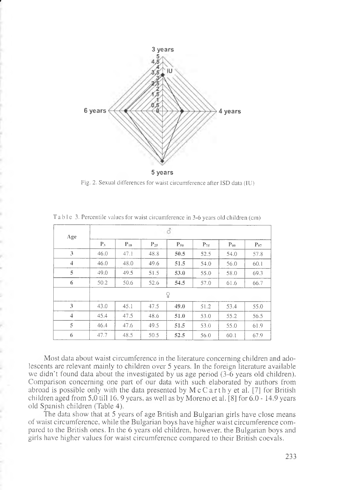

»

Fig. 2. Sexual differences for waist circumference after ISD data (IU)

| Age            |       |          |          |          |          |          |          |  |  |
|----------------|-------|----------|----------|----------|----------|----------|----------|--|--|
|                | $P_3$ | $P_{10}$ | $P_{25}$ | $P_{50}$ | $P_{75}$ | $P_{90}$ | $P_{97}$ |  |  |
| 3              | 46.0  | 47.1     | 48.8     | 50.5     | 52.5     | 54.0     | 57.8     |  |  |
| $\overline{4}$ | 46.0  | 48.0     | 49.6     | 51.5     | 54.0     | 56.0     | 60.1     |  |  |
| 5              | 49.0  | 49.5     | 51.5     | 53.0     | 55.0     | 58.0     | 69.3     |  |  |
| 6              | 50.2  | 50.6     | 52.6     | 54.5     | 57.0     | 61.6     | 66.7     |  |  |
|                |       |          |          | ¥        |          |          |          |  |  |
| 3              | 43.0  | 45.1     | 47.5     | 49.0     | 51.2     | 53.4     | 55.0     |  |  |
| 4              | 45.4  | 47.5     | 48.6     | 51.0     | 53.0     | 55.2     | 56.5     |  |  |
| 5              | 46.4  | 47.6     | 49.5     | 51.5     | 53.0     | 55.0     | 61.9     |  |  |
| 6              | 47.7  | 48.5     | 50.5     | 52.5     | 56.0     | 60.1     | 67.9     |  |  |

Table 3. Percentile values for waist circumference in 3-6 years old children (cm)

Most data about waist circumference in the literature concerning children and adolescents are relevant mainly to children over 5 years. In the foreign literature available we didn't found data about the investigated by us age period (3-6 years old children). Comparison concerning one part of our data with such elaborated by authors from abroad is possible only with the data presented by  $M c$  C a rth y et al. [7] for British children aged from 5,0 till 16. 9 years, as well as by Moreno et al. [8] for 6.0 - 14.9 years old Spanish children (Table 4).

The data show that at 5 years of age British and Bulgarian girls have close means of waist circumference, while the Bulgarian boys have higher waist circumference compared to the British ones. In the 6 years old children, however, the Bulgarian boys and girls have higher values for waist circumference compared to their British coevals.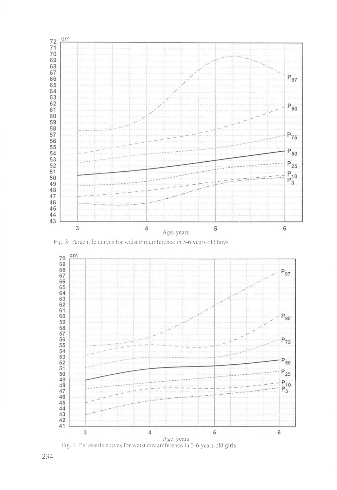

Fig. 3. Percentile curves for waist circumference in 3-6 years old boys



Fig. 4. Percentile curves for waist circumference in 3-6 years old girls